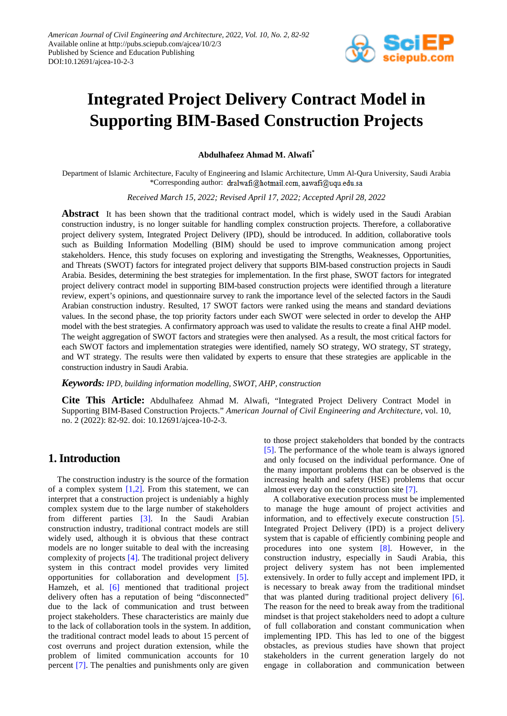

# **Integrated Project Delivery Contract Model in Supporting BIM-Based Construction Projects**

**Abdulhafeez Ahmad M. Alwafi\***

Department of Islamic Architecture, Faculty of Engineering and Islamic Architecture, Umm Al-Qura University, Saudi Arabia \*Corresponding author: dralwafi@hotmail.com.aawafi@uqu.edu.sa

*Received March 15, 2022; Revised April 17, 2022; Accepted April 28, 2022*

**Abstract** It has been shown that the traditional contract model, which is widely used in the Saudi Arabian construction industry, is no longer suitable for handling complex construction projects. Therefore, a collaborative project delivery system, Integrated Project Delivery (IPD), should be introduced. In addition, collaborative tools such as Building Information Modelling (BIM) should be used to improve communication among project stakeholders. Hence, this study focuses on exploring and investigating the Strengths, Weaknesses, Opportunities, and Threats (SWOT) factors for integrated project delivery that supports BIM-based construction projects in Saudi Arabia. Besides, determining the best strategies for implementation. In the first phase, SWOT factors for integrated project delivery contract model in supporting BIM-based construction projects were identified through a literature review, expert's opinions, and questionnaire survey to rank the importance level of the selected factors in the Saudi Arabian construction industry. Resulted, 17 SWOT factors were ranked using the means and standard deviations values. In the second phase, the top priority factors under each SWOT were selected in order to develop the AHP model with the best strategies. A confirmatory approach was used to validate the results to create a final AHP model. The weight aggregation of SWOT factors and strategies were then analysed. As a result, the most critical factors for each SWOT factors and implementation strategies were identified, namely SO strategy, WO strategy, ST strategy, and WT strategy. The results were then validated by experts to ensure that these strategies are applicable in the construction industry in Saudi Arabia.

*Keywords: IPD, building information modelling, SWOT, AHP, construction*

**Cite This Article:** Abdulhafeez Ahmad M. Alwafi, "Integrated Project Delivery Contract Model in Supporting BIM-Based Construction Projects." *American Journal of Civil Engineering and Architecture*, vol. 10, no. 2 (2022): 82-92. doi: 10.12691/ajcea-10-2-3.

# **1. Introduction**

The construction industry is the source of the formation of a complex system  $[1,2]$ . From this statement, we can interpret that a construction project is undeniably a highly complex system due to the large number of stakeholders from different parties [\[3\].](#page-9-1) In the Saudi Arabian construction industry, traditional contract models are still widely used, although it is obvious that these contract models are no longer suitable to deal with the increasing complexity of projects [\[4\].](#page-9-2) The traditional project delivery system in this contract model provides very limited opportunities for collaboration and development [\[5\].](#page-9-3) Hamzeh, et al. [\[6\]](#page-9-4) mentioned that traditional project delivery often has a reputation of being "disconnected" due to the lack of communication and trust between project stakeholders. These characteristics are mainly due to the lack of collaboration tools in the system. In addition, the traditional contract model leads to about 15 percent of cost overruns and project duration extension, while the problem of limited communication accounts for 10 percent [\[7\].](#page-9-5) The penalties and punishments only are given

to those project stakeholders that bonded by the contracts [\[5\].](#page-9-3) The performance of the whole team is always ignored and only focused on the individual performance. One of the many important problems that can be observed is the increasing health and safety (HSE) problems that occur almost every day on the construction sit[e \[7\].](#page-9-5)

A collaborative execution process must be implemented to manage the huge amount of project activities and information, and to effectively execute construction [\[5\].](#page-9-3) Integrated Project Delivery (IPD) is a project delivery system that is capable of efficiently combining people and procedures into one system [\[8\].](#page-9-6) However, in the construction industry, especially in Saudi Arabia, this project delivery system has not been implemented extensively. In order to fully accept and implement IPD, it is necessary to break away from the traditional mindset that was planted during traditional project delivery [\[6\].](#page-9-4) The reason for the need to break away from the traditional mindset is that project stakeholders need to adopt a culture of full collaboration and constant communication when implementing IPD. This has led to one of the biggest obstacles, as previous studies have shown that project stakeholders in the current generation largely do not engage in collaboration and communication between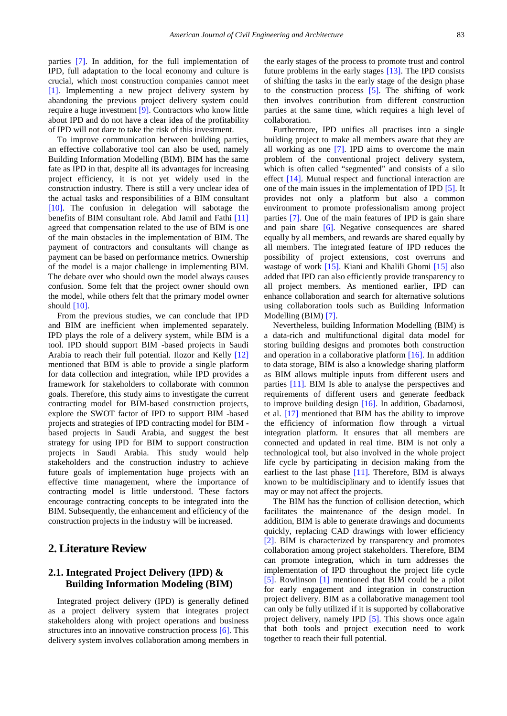parties [\[7\].](#page-9-5) In addition, for the full implementation of IPD, full adaptation to the local economy and culture is crucial, which most construction companies cannot meet [\[1\].](#page-9-0) Implementing a new project delivery system by abandoning the previous project delivery system could require a huge investment [\[9\].](#page-9-7) Contractors who know little about IPD and do not have a clear idea of the profitability of IPD will not dare to take the risk of this investment.

To improve communication between building parties, an effective collaborative tool can also be used, namely Building Information Modelling (BIM). BIM has the same fate as IPD in that, despite all its advantages for increasing project efficiency, it is not yet widely used in the construction industry. There is still a very unclear idea of the actual tasks and responsibilities of a BIM consultant [\[10\].](#page-9-8) The confusion in delegation will sabotage the benefits of BIM consultant role. Abd Jamil and Fathi [\[11\]](#page-9-9) agreed that compensation related to the use of BIM is one of the main obstacles in the implementation of BIM. The payment of contractors and consultants will change as payment can be based on performance metrics. Ownership of the model is a major challenge in implementing BIM. The debate over who should own the model always causes confusion. Some felt that the project owner should own the model, while others felt that the primary model owner should [\[10\].](#page-9-8)

From the previous studies, we can conclude that IPD and BIM are inefficient when implemented separately. IPD plays the role of a delivery system, while BIM is a tool. IPD should support BIM -based projects in Saudi Arabia to reach their full potential. Ilozor and Kelly [\[12\]](#page-9-10) mentioned that BIM is able to provide a single platform for data collection and integration, while IPD provides a framework for stakeholders to collaborate with common goals. Therefore, this study aims to investigate the current contracting model for BIM-based construction projects, explore the SWOT factor of IPD to support BIM -based projects and strategies of IPD contracting model for BIM based projects in Saudi Arabia, and suggest the best strategy for using IPD for BIM to support construction projects in Saudi Arabia. This study would help stakeholders and the construction industry to achieve future goals of implementation huge projects with an effective time management, where the importance of contracting model is little understood. These factors encourage contracting concepts to be integrated into the BIM. Subsequently, the enhancement and efficiency of the construction projects in the industry will be increased.

# **2. Literature Review**

# **2.1. Integrated Project Delivery (IPD) & Building Information Modeling (BIM)**

Integrated project delivery (IPD) is generally defined as a project delivery system that integrates project stakeholders along with project operations and business structures into an innovative construction proces[s \[6\].](#page-9-4) This delivery system involves collaboration among members in the early stages of the process to promote trust and control future problems in the early stages [\[13\].](#page-9-11) The IPD consists of shifting the tasks in the early stage of the design phase to the construction process [\[5\].](#page-9-3) The shifting of work then involves contribution from different construction parties at the same time, which requires a high level of collaboration.

Furthermore, IPD unifies all practises into a single building project to make all members aware that they are all working as one [\[7\].](#page-9-5) IPD aims to overcome the main problem of the conventional project delivery system, which is often called "segmented" and consists of a silo effect [\[14\].](#page-9-12) Mutual respect and functional interaction are one of the main issues in the implementation of IPD [\[5\].](#page-9-3) It provides not only a platform but also a common environment to promote professionalism among project parties [\[7\].](#page-9-5) One of the main features of IPD is gain share and pain share [\[6\].](#page-9-4) Negative consequences are shared equally by all members, and rewards are shared equally by all members. The integrated feature of IPD reduces the possibility of project extensions, cost overruns and wastage of work [\[15\].](#page-9-13) Kiani and Khalili Ghomi [\[15\]](#page-9-13) also added that IPD can also efficiently provide transparency to all project members. As mentioned earlier, IPD can enhance collaboration and search for alternative solutions using collaboration tools such as Building Information Modelling (BIM) [\[7\].](#page-9-5)

Nevertheless, building Information Modelling (BIM) is a data-rich and multifunctional digital data model for storing building designs and promotes both construction and operation in a collaborative platform [\[16\].](#page-9-14) In addition to data storage, BIM is also a knowledge sharing platform as BIM allows multiple inputs from different users and parties [\[11\].](#page-9-9) BIM Is able to analyse the perspectives and requirements of different users and generate feedback to improve building design [\[16\].](#page-9-14) In addition, Gbadamosi, et al. [\[17\]](#page-9-15) mentioned that BIM has the ability to improve the efficiency of information flow through a virtual integration platform. It ensures that all members are connected and updated in real time. BIM is not only a technological tool, but also involved in the whole project life cycle by participating in decision making from the earliest to the last phase  $[11]$ . Therefore, BIM is always known to be multidisciplinary and to identify issues that may or may not affect the projects.

The BIM has the function of collision detection, which facilitates the maintenance of the design model. In addition, BIM is able to generate drawings and documents quickly, replacing CAD drawings with lower efficiency [\[2\].](#page-9-16) BIM is characterized by transparency and promotes collaboration among project stakeholders. Therefore, BIM can promote integration, which in turn addresses the implementation of IPD throughout the project life cycle [\[5\].](#page-9-3) Rowlinson [\[1\]](#page-9-0) mentioned that BIM could be a pilot for early engagement and integration in construction project delivery. BIM as a collaborative management tool can only be fully utilized if it is supported by collaborative project delivery, namely IPD [\[5\].](#page-9-3) This shows once again that both tools and project execution need to work together to reach their full potential.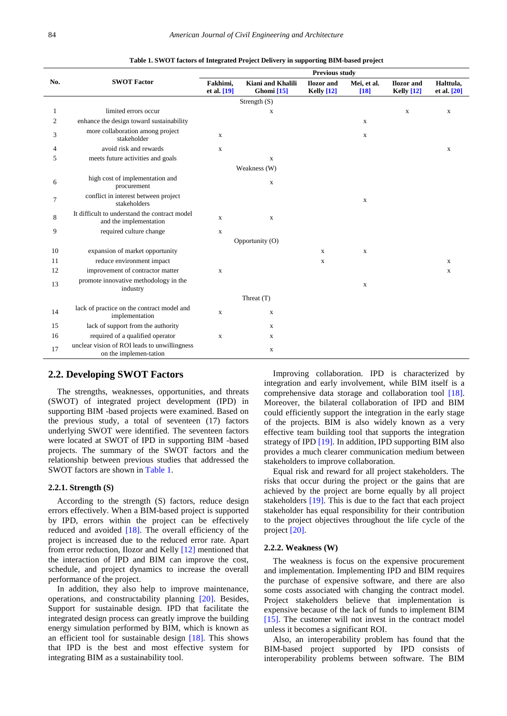<span id="page-2-0"></span>

|                |                                                                         | <b>Previous study</b>     |                                            |                                        |                       |                                   |                            |  |  |
|----------------|-------------------------------------------------------------------------|---------------------------|--------------------------------------------|----------------------------------------|-----------------------|-----------------------------------|----------------------------|--|--|
| No.            | <b>SWOT Factor</b>                                                      | Fakhimi,<br>et al. $[19]$ | Kiani and Khalili<br>Ghomi <sup>[15]</sup> | <b>Ilozor</b> and<br><b>Kelly</b> [12] | Mei, et al.<br>$[18]$ | <b>Ilozor</b> and<br>Kelly $[12]$ | Halttula,<br>et al. $[20]$ |  |  |
|                | Strength $(S)$                                                          |                           |                                            |                                        |                       |                                   |                            |  |  |
| 1              | limited errors occur                                                    |                           | X                                          |                                        |                       | $\mathbf x$                       | $\mathbf X$                |  |  |
| $\overline{c}$ | enhance the design toward sustainability                                |                           |                                            |                                        | X                     |                                   |                            |  |  |
| 3              | more collaboration among project<br>stakeholder                         | $\mathbf{x}$              |                                            |                                        | X                     |                                   |                            |  |  |
| 4              | avoid risk and rewards                                                  | X                         |                                            |                                        |                       |                                   | X                          |  |  |
| 5              | meets future activities and goals                                       |                           | X                                          |                                        |                       |                                   |                            |  |  |
|                |                                                                         |                           | Weakness (W)                               |                                        |                       |                                   |                            |  |  |
| 6              | high cost of implementation and<br>procurement                          |                           | X                                          |                                        |                       |                                   |                            |  |  |
| 7              | conflict in interest between project<br>stakeholders                    |                           |                                            |                                        | $\mathbf X$           |                                   |                            |  |  |
| 8              | It difficult to understand the contract model<br>and the implementation | $\mathbf{X}$              | $\mathbf x$                                |                                        |                       |                                   |                            |  |  |
| 9              | required culture change                                                 | X                         |                                            |                                        |                       |                                   |                            |  |  |
|                |                                                                         |                           | Opportunity (O)                            |                                        |                       |                                   |                            |  |  |
| 10             | expansion of market opportunity                                         |                           |                                            | $\mathbf{X}$                           | $\mathbf X$           |                                   |                            |  |  |
| 11             | reduce environment impact                                               |                           |                                            | X                                      |                       |                                   | X                          |  |  |
| 12             | improvement of contractor matter                                        | $\mathbf{X}$              |                                            |                                        |                       |                                   | $\mathbf X$                |  |  |
| 13             | promote innovative methodology in the<br>industry                       |                           |                                            |                                        | $\mathbf X$           |                                   |                            |  |  |
|                |                                                                         |                           | Threat (T)                                 |                                        |                       |                                   |                            |  |  |
| 14             | lack of practice on the contract model and<br>implementation            | $\mathbf{X}$              | $\mathbf x$                                |                                        |                       |                                   |                            |  |  |
| 15             | lack of support from the authority                                      |                           | X                                          |                                        |                       |                                   |                            |  |  |
| 16             | required of a qualified operator                                        | $\mathbf{x}$              | X                                          |                                        |                       |                                   |                            |  |  |
| 17             | unclear vision of ROI leads to unwillingness<br>on the implemen-tation  |                           | X                                          |                                        |                       |                                   |                            |  |  |

**Table 1. SWOT factors of Integrated Project Delivery in supporting BIM-based project**

## **2.2. Developing SWOT Factors**

The strengths, weaknesses, opportunities, and threats (SWOT) of integrated project development (IPD) in supporting BIM -based projects were examined. Based on the previous study, a total of seventeen (17) factors underlying SWOT were identified. The seventeen factors were located at SWOT of IPD in supporting BIM -based projects. The summary of the SWOT factors and the relationship between previous studies that addressed the SWOT factors are shown in [Table 1.](#page-2-0)

## **2.2.1. Strength (S)**

According to the strength (S) factors, reduce design errors effectively. When a BIM-based project is supported by IPD, errors within the project can be effectively reduced and avoided [\[18\].](#page-9-18) The overall efficiency of the project is increased due to the reduced error rate. Apart from error reduction, Ilozor and Kelly [\[12\]](#page-9-10) mentioned that the interaction of IPD and BIM can improve the cost, schedule, and project dynamics to increase the overall performance of the project.

In addition, they also help to improve maintenance, operations, and constructability planning [\[20\].](#page-9-19) Besides, Support for sustainable design. IPD that facilitate the integrated design process can greatly improve the building energy simulation performed by BIM, which is known as an efficient tool for sustainable design [\[18\].](#page-9-18) This shows that IPD is the best and most effective system for integrating BIM as a sustainability tool.

Improving collaboration. IPD is characterized by integration and early involvement, while BIM itself is a comprehensive data storage and collaboration tool [\[18\].](#page-9-18) Moreover, the bilateral collaboration of IPD and BIM could efficiently support the integration in the early stage of the projects. BIM is also widely known as a very effective team building tool that supports the integration strategy of IPD [\[19\].](#page-9-17) In addition, IPD supporting BIM also provides a much clearer communication medium between stakeholders to improve collaboration.

Equal risk and reward for all project stakeholders. The risks that occur during the project or the gains that are achieved by the project are borne equally by all project stakeholders [\[19\].](#page-9-17) This is due to the fact that each project stakeholder has equal responsibility for their contribution to the project objectives throughout the life cycle of the projec[t \[20\].](#page-9-19)

#### **2.2.2. Weakness (W)**

The weakness is focus on the expensive procurement and implementation. Implementing IPD and BIM requires the purchase of expensive software, and there are also some costs associated with changing the contract model. Project stakeholders believe that implementation is expensive because of the lack of funds to implement BIM [\[15\].](#page-9-13) The customer will not invest in the contract model unless it becomes a significant ROI.

Also, an interoperability problem has found that the BIM-based project supported by IPD consists of interoperability problems between software. The BIM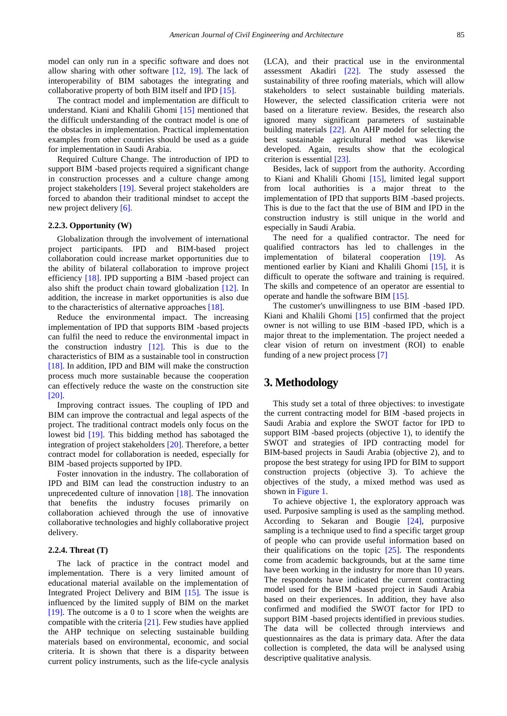model can only run in a specific software and does not allow sharing with other software [\[12, 19\].](#page-9-10) The lack of interoperability of BIM sabotages the integrating and collaborative property of both BIM itself and IPD [\[15\].](#page-9-13)

The contract model and implementation are difficult to understand. Kiani and Khalili Ghomi [\[15\]](#page-9-13) mentioned that the difficult understanding of the contract model is one of the obstacles in implementation. Practical implementation examples from other countries should be used as a guide for implementation in Saudi Arabia.

Required Culture Change. The introduction of IPD to support BIM -based projects required a significant change in construction processes and a culture change among project stakeholders [\[19\].](#page-9-17) Several project stakeholders are forced to abandon their traditional mindset to accept the new project delivery [\[6\].](#page-9-4)

#### **2.2.3. Opportunity (W)**

Globalization through the involvement of international project participants. IPD and BIM-based project collaboration could increase market opportunities due to the ability of bilateral collaboration to improve project efficiency [\[18\].](#page-9-18) IPD supporting a BIM -based project can also shift the product chain toward globalization [\[12\].](#page-9-10) In addition, the increase in market opportunities is also due to the characteristics of alternative approaches [\[18\].](#page-9-18)

Reduce the environmental impact. The increasing implementation of IPD that supports BIM -based projects can fulfil the need to reduce the environmental impact in the construction industry  $[12]$ . This is due to the characteristics of BIM as a sustainable tool in construction [\[18\].](#page-9-18) In addition, IPD and BIM will make the construction process much more sustainable because the cooperation can effectively reduce the waste on the construction site [\[20\].](#page-9-19)

Improving contract issues. The coupling of IPD and BIM can improve the contractual and legal aspects of the project. The traditional contract models only focus on the lowest bid [\[19\].](#page-9-17) This bidding method has sabotaged the integration of project stakeholders [\[20\].](#page-9-19) Therefore, a better contract model for collaboration is needed, especially for BIM -based projects supported by IPD.

Foster innovation in the industry. The collaboration of IPD and BIM can lead the construction industry to an unprecedented culture of innovation [\[18\].](#page-9-18) The innovation that benefits the industry focuses primarily on collaboration achieved through the use of innovative collaborative technologies and highly collaborative project delivery.

#### **2.2.4. Threat (T)**

The lack of practice in the contract model and implementation. There is a very limited amount of educational material available on the implementation of Integrated Project Delivery and BIM [\[15\].](#page-9-13) The issue is influenced by the limited supply of BIM on the market [\[19\].](#page-9-17) The outcome is a 0 to 1 score when the weights are compatible with the criteria [\[21\].](#page-9-20) Few studies have applied the AHP technique on selecting sustainable building materials based on environmental, economic, and social criteria. It is shown that there is a disparity between current policy instruments, such as the life-cycle analysis (LCA), and their practical use in the environmental assessment Akadiri [\[22\].](#page-9-21) The study assessed the sustainability of three roofing materials, which will allow stakeholders to select sustainable building materials. However, the selected classification criteria were not based on a literature review. Besides, the research also ignored many significant parameters of sustainable building materials [\[22\].](#page-9-21) An AHP model for selecting the best sustainable agricultural method was likewise developed. Again, results show that the ecological criterion is essentia[l \[23\].](#page-9-22)

Besides, lack of support from the authority. According to Kiani and Khalili Ghomi [\[15\],](#page-9-13) limited legal support from local authorities is a major threat to the implementation of IPD that supports BIM -based projects. This is due to the fact that the use of BIM and IPD in the construction industry is still unique in the world and especially in Saudi Arabia.

The need for a qualified contractor. The need for qualified contractors has led to challenges in the implementation of bilateral cooperation [\[19\].](#page-9-17) As mentioned earlier by Kiani and Khalili Ghomi [\[15\],](#page-9-13) it is difficult to operate the software and training is required. The skills and competence of an operator are essential to operate and handle the software BIM [\[15\].](#page-9-13)

The customer's unwillingness to use BIM -based IPD. Kiani and Khalili Ghomi [\[15\]](#page-9-13) confirmed that the project owner is not willing to use BIM -based IPD, which is a major threat to the implementation. The project needed a clear vision of return on investment (ROI) to enable funding of a new project process [\[7\]](#page-9-5)

# **3. Methodology**

This study set a total of three objectives: to investigate the current contracting model for BIM -based projects in Saudi Arabia and explore the SWOT factor for IPD to support BIM -based projects (objective 1), to identify the SWOT and strategies of IPD contracting model for BIM-based projects in Saudi Arabia (objective 2), and to propose the best strategy for using IPD for BIM to support construction projects (objective 3). To achieve the objectives of the study, a mixed method was used as shown in [Figure 1.](#page-4-0)

To achieve objective 1, the exploratory approach was used. Purposive sampling is used as the sampling method. According to Sekaran and Bougie [\[24\],](#page-9-23) purposive sampling is a technique used to find a specific target group of people who can provide useful information based on their qualifications on the topic  $[25]$ . The respondents come from academic backgrounds, but at the same time have been working in the industry for more than 10 years. The respondents have indicated the current contracting model used for the BIM -based project in Saudi Arabia based on their experiences. In addition, they have also confirmed and modified the SWOT factor for IPD to support BIM -based projects identified in previous studies. The data will be collected through interviews and questionnaires as the data is primary data. After the data collection is completed, the data will be analysed using descriptive qualitative analysis.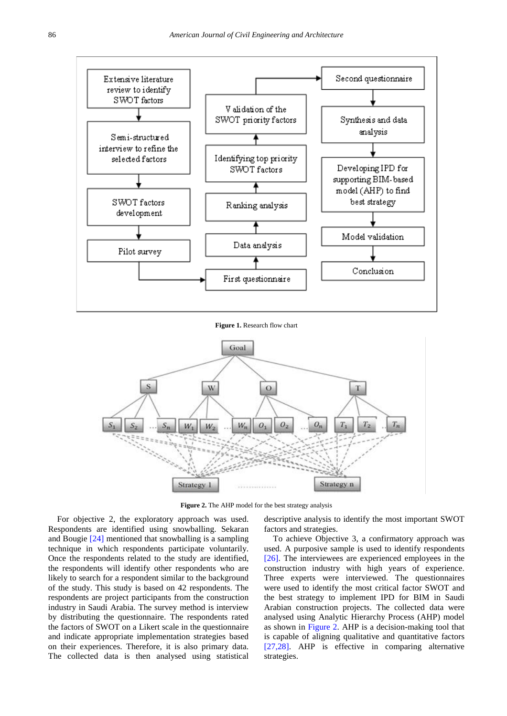<span id="page-4-0"></span>

**Figure 1.** Research flow chart

<span id="page-4-1"></span>

Figure 2. The AHP model for the best strategy analysis

For objective 2, the exploratory approach was used. Respondents are identified using snowballing. Sekaran and Bougie [\[24\]](#page-9-23) mentioned that snowballing is a sampling technique in which respondents participate voluntarily. Once the respondents related to the study are identified, the respondents will identify other respondents who are likely to search for a respondent similar to the background of the study. This study is based on 42 respondents. The respondents are project participants from the construction industry in Saudi Arabia. The survey method is interview by distributing the questionnaire. The respondents rated the factors of SWOT on a Likert scale in the questionnaire and indicate appropriate implementation strategies based on their experiences. Therefore, it is also primary data. The collected data is then analysed using statistical descriptive analysis to identify the most important SWOT factors and strategies.

To achieve Objective 3, a confirmatory approach was used. A purposive sample is used to identify respondents [\[26\].](#page-9-25) The interviewees are experienced employees in the construction industry with high years of experience. Three experts were interviewed. The questionnaires were used to identify the most critical factor SWOT and the best strategy to implement IPD for BIM in Saudi Arabian construction projects. The collected data were analysed using Analytic Hierarchy Process (AHP) model as shown in [Figure 2.](#page-4-1) AHP is a decision-making tool that is capable of aligning qualitative and quantitative factors [\[27,28\].](#page-9-26) AHP is effective in comparing alternative strategies.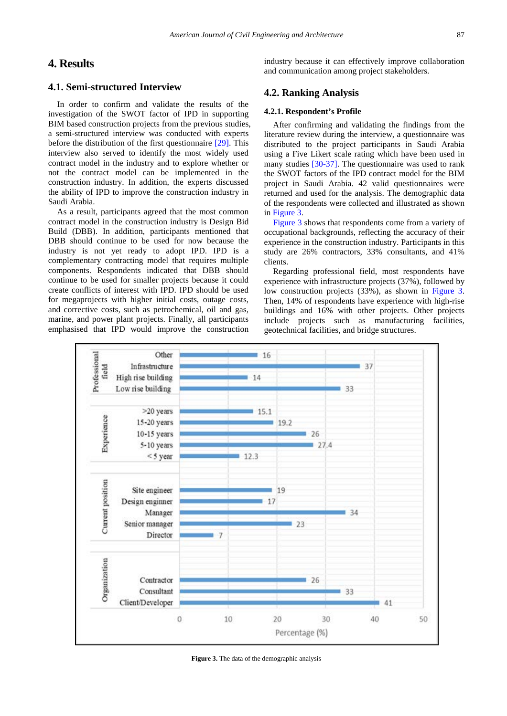# **4. Results**

## **4.1. Semi-structured Interview**

In order to confirm and validate the results of the investigation of the SWOT factor of IPD in supporting BIM based construction projects from the previous studies, a semi-structured interview was conducted with experts before the distribution of the first questionnaire [\[29\].](#page-10-0) This interview also served to identify the most widely used contract model in the industry and to explore whether or not the contract model can be implemented in the construction industry. In addition, the experts discussed the ability of IPD to improve the construction industry in Saudi Arabia.

As a result, participants agreed that the most common contract model in the construction industry is Design Bid Build (DBB). In addition, participants mentioned that DBB should continue to be used for now because the industry is not yet ready to adopt IPD. IPD is a complementary contracting model that requires multiple components. Respondents indicated that DBB should continue to be used for smaller projects because it could create conflicts of interest with IPD. IPD should be used for megaprojects with higher initial costs, outage costs, and corrective costs, such as petrochemical, oil and gas, marine, and power plant projects. Finally, all participants emphasised that IPD would improve the construction

industry because it can effectively improve collaboration and communication among project stakeholders.

## **4.2. Ranking Analysis**

#### **4.2.1. Respondent's Profile**

After confirming and validating the findings from the literature review during the interview, a questionnaire was distributed to the project participants in Saudi Arabia using a Five Likert scale rating which have been used in many studies [\[30-37\].](#page-10-1) The questionnaire was used to rank the SWOT factors of the IPD contract model for the BIM project in Saudi Arabia. 42 valid questionnaires were returned and used for the analysis. The demographic data of the respondents were collected and illustrated as shown in [Figure 3.](#page-5-0)

[Figure 3](#page-5-0) shows that respondents come from a variety of occupational backgrounds, reflecting the accuracy of their experience in the construction industry. Participants in this study are 26% contractors, 33% consultants, and 41% clients.

Regarding professional field, most respondents have experience with infrastructure projects (37%), followed by low construction projects (33%), as shown in [Figure 3.](#page-5-0) Then, 14% of respondents have experience with high-rise buildings and 16% with other projects. Other projects include projects such as manufacturing facilities, geotechnical facilities, and bridge structures.

<span id="page-5-0"></span>

**Figure 3.** The data of the demographic analysis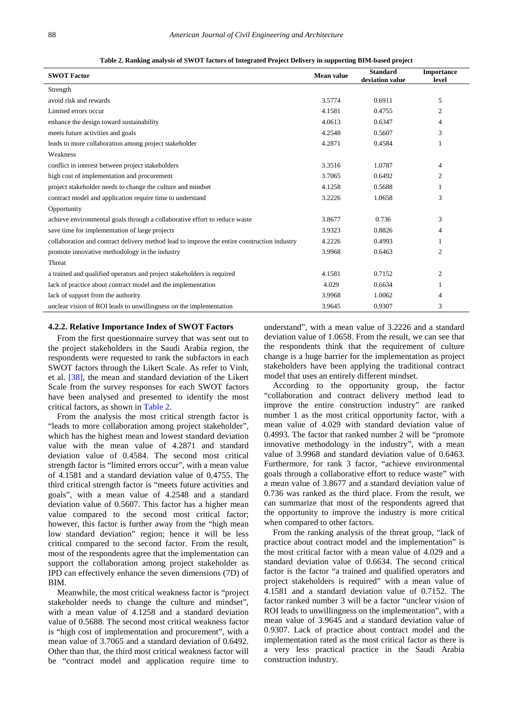<span id="page-6-0"></span>

| <b>SWOT Factor</b>                                                                          | <b>Mean value</b> | <b>Standard</b><br>deviation value | <b>Importance</b><br>level |
|---------------------------------------------------------------------------------------------|-------------------|------------------------------------|----------------------------|
| Strength                                                                                    |                   |                                    |                            |
| avoid risk and rewards                                                                      | 3.5774            | 0.6911                             | 5                          |
| Limited errors occur                                                                        | 4.1581            | 0.4755                             | 2                          |
| enhance the design toward sustainability                                                    | 4.0613            | 0.6347                             | 4                          |
| meets future activities and goals                                                           | 4.2548            | 0.5607                             | 3                          |
| leads to more collaboration among project stakeholder                                       | 4.2871            | 0.4584                             | 1                          |
| Weakness                                                                                    |                   |                                    |                            |
| conflict in interest between project stakeholders                                           | 3.3516            | 1.0787                             | $\overline{4}$             |
| high cost of implementation and procurement                                                 | 3.7065            | 0.6492                             | $\overline{2}$             |
| project stakeholder needs to change the culture and mindset                                 | 4.1258            | 0.5688                             |                            |
| contract model and application require time to understand                                   | 3.2226            | 1.0658                             | 3                          |
| Opportunity                                                                                 |                   |                                    |                            |
| achieve environmental goals through a collaborative effort to reduce waste                  | 3.8677            | 0.736                              | 3                          |
| save time for implementation of large projects                                              | 3.9323            | 0.8826                             | 4                          |
| collaboration and contract delivery method lead to improve the entire construction industry | 4.2226            | 0.4993                             |                            |
| promote innovative methodology in the industry                                              | 3.9968            | 0.6463                             | $\overline{2}$             |
| Threat                                                                                      |                   |                                    |                            |
| a trained and qualified operators and project stakeholders is required                      | 4.1581            | 0.7152                             | 2                          |
| lack of practice about contract model and the implementation                                | 4.029             | 0.6634                             |                            |
| lack of support from the authority                                                          | 3.9968            | 1.0062                             | 4                          |
| unclear vision of ROI leads to unwillingness on the implementation                          | 3.9645            | 0.9307                             | 3                          |

**Table 2. Ranking analysis of SWOT factors of Integrated Project Delivery in supporting BIM-based project**

#### **4.2.2. Relative Importance Index of SWOT Factors**

From the first questionnaire survey that was sent out to the project stakeholders in the Saudi Arabia region, the respondents were requested to rank the subfactors in each SWOT factors through the Likert Scale. As refer to Vinh, et al. [\[38\],](#page-10-2) the mean and standard deviation of the Likert Scale from the survey responses for each SWOT factors have been analysed and presented to identify the most critical factors, as shown in [Table 2.](#page-6-0)

From the analysis the most critical strength factor is "leads to more collaboration among project stakeholder", which has the highest mean and lowest standard deviation value with the mean value of 4.2871 and standard deviation value of 0.4584. The second most critical strength factor is "limited errors occur", with a mean value of 4.1581 and a standard deviation value of 0.4755. The third critical strength factor is "meets future activities and goals", with a mean value of 4.2548 and a standard deviation value of 0.5607. This factor has a higher mean value compared to the second most critical factor; however, this factor is further away from the "high mean low standard deviation" region; hence it will be less critical compared to the second factor. From the result, most of the respondents agree that the implementation can support the collaboration among project stakeholder as IPD can effectively enhance the seven dimensions (7D) of BIM.

Meanwhile, the most critical weakness factor is "project stakeholder needs to change the culture and mindset", with a mean value of 4.1258 and a standard deviation value of 0.5688. The second most critical weakness factor is "high cost of implementation and procurement", with a mean value of 3.7065 and a standard deviation of 0.6492. Other than that, the third most critical weakness factor will be "contract model and application require time to

understand", with a mean value of 3.2226 and a standard deviation value of 1.0658. From the result, we can see that the respondents think that the requirement of culture change is a huge barrier for the implementation as project stakeholders have been applying the traditional contract model that uses an entirely different mindset.

According to the opportunity group, the factor "collaboration and contract delivery method lead to improve the entire construction industry" are ranked number 1 as the most critical opportunity factor, with a mean value of 4.029 with standard deviation value of 0.4993. The factor that ranked number 2 will be "promote innovative methodology in the industry", with a mean value of 3.9968 and standard deviation value of 0.6463. Furthermore, for rank 3 factor, "achieve environmental goals through a collaborative effort to reduce waste" with a mean value of 3.8677 and a standard deviation value of 0.736 was ranked as the third place. From the result, we can summarize that most of the respondents agreed that the opportunity to improve the industry is more critical when compared to other factors.

From the ranking analysis of the threat group, "lack of practice about contract model and the implementation" is the most critical factor with a mean value of 4.029 and a standard deviation value of 0.6634. The second critical factor is the factor "a trained and qualified operators and project stakeholders is required" with a mean value of 4.1581 and a standard deviation value of 0.7152. The factor ranked number 3 will be a factor "unclear vision of ROI leads to unwillingness on the implementation", with a mean value of 3.9645 and a standard deviation value of 0.9307. Lack of practice about contract model and the implementation rated as the most critical factor as there is a very less practical practice in the Saudi Arabia construction industry.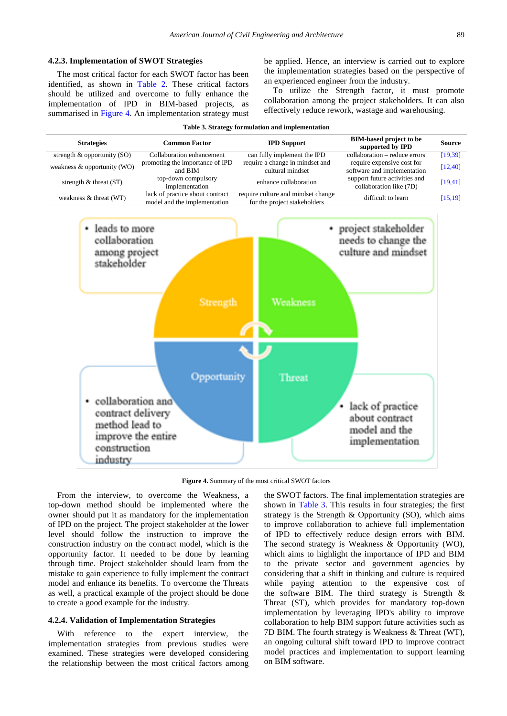#### **4.2.3. Implementation of SWOT Strategies**

The most critical factor for each SWOT factor has been identified, as shown in [Table 2.](#page-6-0) These critical factors should be utilized and overcome to fully enhance the implementation of IPD in BIM-based projects, as summarised in [Figure 4.](#page-7-0) An implementation strategy must be applied. Hence, an interview is carried out to explore the implementation strategies based on the perspective of an experienced engineer from the industry.

To utilize the Strength factor, it must promote collaboration among the project stakeholders. It can also effectively reduce rework, wastage and warehousing.

<span id="page-7-1"></span><span id="page-7-0"></span>

**Figure 4.** Summary of the most critical SWOT factors

From the interview, to overcome the Weakness, a top-down method should be implemented where the owner should put it as mandatory for the implementation of IPD on the project. The project stakeholder at the lower level should follow the instruction to improve the construction industry on the contract model, which is the opportunity factor. It needed to be done by learning through time. Project stakeholder should learn from the mistake to gain experience to fully implement the contract model and enhance its benefits. To overcome the Threats as well, a practical example of the project should be done to create a good example for the industry.

#### **4.2.4. Validation of Implementation Strategies**

With reference to the expert interview, the implementation strategies from previous studies were examined. These strategies were developed considering the relationship between the most critical factors among the SWOT factors. The final implementation strategies are shown in [Table 3.](#page-7-1) This results in four strategies; the first strategy is the Strength & Opportunity (SO), which aims to improve collaboration to achieve full implementation of IPD to effectively reduce design errors with BIM. The second strategy is Weakness & Opportunity (WO), which aims to highlight the importance of IPD and BIM to the private sector and government agencies by considering that a shift in thinking and culture is required while paying attention to the expensive cost of the software BIM. The third strategy is Strength & Threat (ST), which provides for mandatory top-down implementation by leveraging IPD's ability to improve collaboration to help BIM support future activities such as 7D BIM. The fourth strategy is Weakness & Threat (WT), an ongoing cultural shift toward IPD to improve contract model practices and implementation to support learning on BIM software.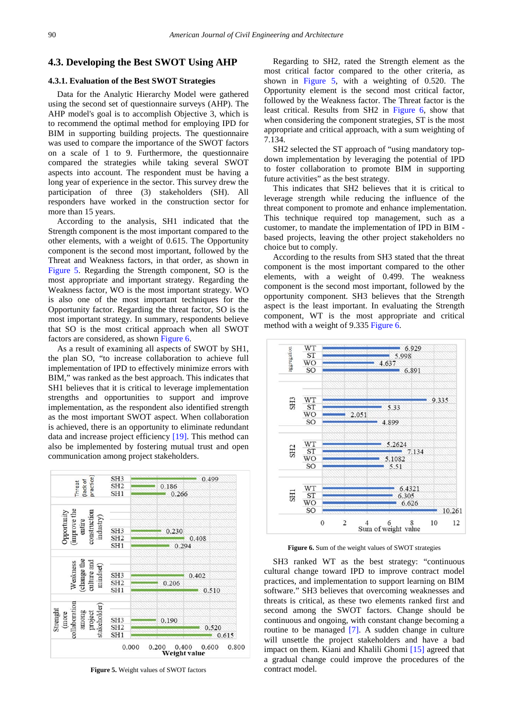## **4.3. Developing the Best SWOT Using AHP**

## **4.3.1. Evaluation of the Best SWOT Strategies**

Data for the Analytic Hierarchy Model were gathered using the second set of questionnaire surveys (AHP). The AHP model's goal is to accomplish Objective 3, which is to recommend the optimal method for employing IPD for BIM in supporting building projects. The questionnaire was used to compare the importance of the SWOT factors on a scale of 1 to 9. Furthermore, the questionnaire compared the strategies while taking several SWOT aspects into account. The respondent must be having a long year of experience in the sector. This survey drew the participation of three (3) stakeholders (SH). All responders have worked in the construction sector for more than 15 years.

According to the analysis, SH1 indicated that the Strength component is the most important compared to the other elements, with a weight of 0.615. The Opportunity component is the second most important, followed by the Threat and Weakness factors, in that order, as shown in [Figure 5.](#page-8-0) Regarding the Strength component, SO is the most appropriate and important strategy. Regarding the Weakness factor, WO is the most important strategy. WO is also one of the most important techniques for the Opportunity factor. Regarding the threat factor, SO is the most important strategy. In summary, respondents believe that SO is the most critical approach when all SWOT factors are considered, as shown [Figure 6.](#page-8-1)

As a result of examining all aspects of SWOT by SH1, the plan SO, "to increase collaboration to achieve full implementation of IPD to effectively minimize errors with BIM," was ranked as the best approach. This indicates that SH1 believes that it is critical to leverage implementation strengths and opportunities to support and improve implementation, as the respondent also identified strength as the most important SWOT aspect. When collaboration is achieved, there is an opportunity to eliminate redundant data and increase project efficiency [\[19\].](#page-9-17) This method can also be implemented by fostering mutual trust and open communication among project stakeholders.

<span id="page-8-0"></span>

**Figure 5.** Weight values of SWOT factors

Regarding to SH2, rated the Strength element as the most critical factor compared to the other criteria, as shown in [Figure 5,](#page-8-0) with a weighting of 0.520. The Opportunity element is the second most critical factor, followed by the Weakness factor. The Threat factor is the least critical. Results from SH2 in [Figure 6,](#page-8-1) show that when considering the component strategies, ST is the most appropriate and critical approach, with a sum weighting of 7.134.

SH2 selected the ST approach of "using mandatory topdown implementation by leveraging the potential of IPD to foster collaboration to promote BIM in supporting future activities" as the best strategy.

This indicates that SH2 believes that it is critical to leverage strength while reducing the influence of the threat component to promote and enhance implementation. This technique required top management, such as a customer, to mandate the implementation of IPD in BIM based projects, leaving the other project stakeholders no choice but to comply.

According to the results from SH3 stated that the threat component is the most important compared to the other elements, with a weight of 0.499. The weakness component is the second most important, followed by the opportunity component. SH3 believes that the Strength aspect is the least important. In evaluating the Strength component, WT is the most appropriate and critical method with a weight of 9.335 [Figure 6.](#page-8-1)

<span id="page-8-1"></span>

**Figure 6.** Sum of the weight values of SWOT strategies

SH3 ranked WT as the best strategy: "continuous cultural change toward IPD to improve contract model practices, and implementation to support learning on BIM software." SH3 believes that overcoming weaknesses and threats is critical, as these two elements ranked first and second among the SWOT factors. Change should be continuous and ongoing, with constant change becoming a routine to be managed [\[7\].](#page-9-5) A sudden change in culture will unsettle the project stakeholders and have a bad impact on them. Kiani and Khalili Ghomi [\[15\]](#page-9-13) agreed that a gradual change could improve the procedures of the contract model.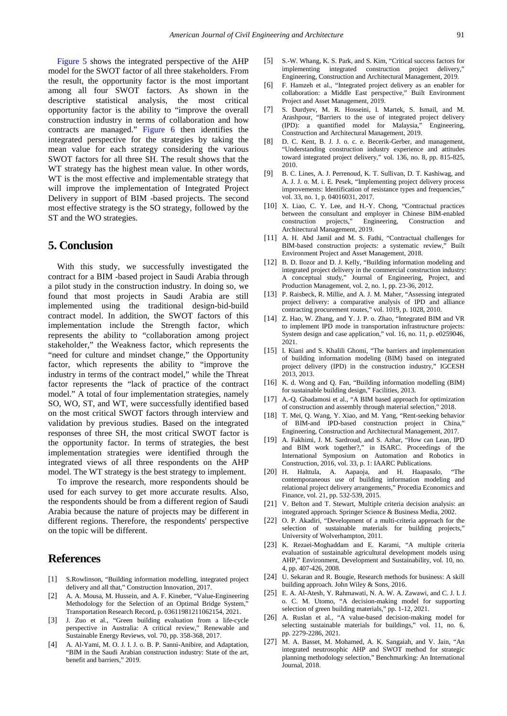[Figure 5](#page-8-0) shows the integrated perspective of the AHP model for the SWOT factor of all three stakeholders. From the result, the opportunity factor is the most important among all four SWOT factors. As shown in the descriptive statistical analysis, the most critical opportunity factor is the ability to "improve the overall construction industry in terms of collaboration and how contracts are managed." [Figure 6](#page-8-1) then identifies the integrated perspective for the strategies by taking the mean value for each strategy considering the various SWOT factors for all three SH. The result shows that the WT strategy has the highest mean value. In other words, WT is the most effective and implementable strategy that will improve the implementation of Integrated Project Delivery in support of BIM -based projects. The second most effective strategy is the SO strategy, followed by the ST and the WO strategies.

# **5. Conclusion**

With this study, we successfully investigated the contract for a BIM -based project in Saudi Arabia through a pilot study in the construction industry. In doing so, we found that most projects in Saudi Arabia are still implemented using the traditional design-bid-build contract model. In addition, the SWOT factors of this implementation include the Strength factor, which represents the ability to "collaboration among project stakeholder," the Weakness factor, which represents the "need for culture and mindset change," the Opportunity factor, which represents the ability to "improve the industry in terms of the contract model," while the Threat factor represents the "lack of practice of the contract model." A total of four implementation strategies, namely SO, WO, ST, and WT, were successfully identified based on the most critical SWOT factors through interview and validation by previous studies. Based on the integrated responses of three SH, the most critical SWOT factor is the opportunity factor. In terms of strategies, the best implementation strategies were identified through the integrated views of all three respondents on the AHP model. The WT strategy is the best strategy to implement.

To improve the research, more respondents should be used for each survey to get more accurate results. Also, the respondents should be from a different region of Saudi Arabia because the nature of projects may be different in different regions. Therefore, the respondents' perspective on the topic will be different.

# **References**

- <span id="page-9-0"></span>[1] S.Rowlinson, "Building information modelling, integrated project delivery and all that," Construction Innovation, 2017.
- <span id="page-9-16"></span>[2] A. A. Mousa, M. Hussein, and A. F. Kineber, "Value-Engineering Methodology for the Selection of an Optimal Bridge System," Transportation Research Record, p. 03611981211062154, 2021.
- <span id="page-9-1"></span>[3] J. Zuo et al., "Green building evaluation from a life-cycle perspective in Australia: A critical review," Renewable and Sustainable Energy Reviews, vol. 70, pp. 358-368, 2017.
- <span id="page-9-2"></span>[4] A. Al-Yami, M. O. J. I. J. o. B. P. Sanni-Anibire, and Adaptation, "BIM in the Saudi Arabian construction industry: State of the art, benefit and barriers," 2019.
- <span id="page-9-3"></span>[5] S.-W. Whang, K. S. Park, and S. Kim, "Critical success factors for implementing integrated construction project delivery," Engineering, Construction and Architectural Management, 2019.
- <span id="page-9-4"></span>[6] F. Hamzeh et al., "Integrated project delivery as an enabler for collaboration: a Middle East perspective," Built Environment Project and Asset Management, 2019.
- <span id="page-9-5"></span>[7] S. Durdyev, M. R. Hosseini, I. Martek, S. Ismail, and M. Arashpour, "Barriers to the use of integrated project delivery (IPD): a quantified model for Malaysia," Engineering, Construction and Architectural Management, 2019.
- <span id="page-9-6"></span>[8] D. C. Kent, B. J. J. o. c. e. Becerik-Gerber, and management, "Understanding construction industry experience and attitudes toward integrated project delivery," vol. 136, no. 8, pp. 815-825, 2010.
- <span id="page-9-7"></span>[9] B. C. Lines, A. J. Perrenoud, K. T. Sullivan, D. T. Kashiwag, and A. J. J. o. M. i. E. Pesek, "Implementing project delivery process improvements: Identification of resistance types and frequencies," vol. 33, no. 1, p. 04016031, 2017.
- <span id="page-9-8"></span>[10] X. Liao, C. Y. Lee, and H.-Y. Chong, "Contractual practices between the consultant and employer in Chinese BIM-enabled construction projects," Engineering, Construction and Architectural Management, 2019.
- <span id="page-9-9"></span>[11] A. H. Abd Jamil and M. S. Fathi, "Contractual challenges for BIM-based construction projects: a systematic review," Built Environment Project and Asset Management, 2018.
- <span id="page-9-10"></span>[12] B. D. Ilozor and D. J. Kelly, "Building information modeling and integrated project delivery in the commercial construction industry: A conceptual study," Journal of Engineering, Project, and Production Management, vol. 2, no. 1, pp. 23-36, 2012.
- <span id="page-9-11"></span>[13] P. Raisbeck, R. Millie, and A. J. M. Maher, "Assessing integrated project delivery: a comparative analysis of IPD and alliance contracting procurement routes," vol. 1019, p. 1028, 2010.
- <span id="page-9-12"></span>[14] Z. Hao, W. Zhang, and Y. J. P. o. Zhao, "Integrated BIM and VR to implement IPD mode in transportation infrastructure projects: System design and case application," vol. 16, no. 11, p. e0259046, 2021.
- <span id="page-9-13"></span>[15] I. Kiani and S. Khalili Ghomi, "The barriers and implementation of building information modeling (BIM) based on integrated project delivery (IPD) in the construction industry," IGCESH 2013, 2013.
- <span id="page-9-14"></span>[16] K. d. Wong and Q. Fan, "Building information modelling (BIM) for sustainable building design," Facilities, 2013.
- <span id="page-9-15"></span>[17] A.-Q. Gbadamosi et al., "A BIM based approach for optimization of construction and assembly through material selection," 2018.
- <span id="page-9-18"></span>[18] T. Mei, O. Wang, Y. Xiao, and M. Yang, "Rent-seeking behavior of BIM-and IPD-based construction project in China," Engineering, Construction and Architectural Management, 2017.
- <span id="page-9-17"></span>[19] A. Fakhimi, J. M. Sardroud, and S. Azhar, "How can Lean, IPD and BIM work together?," in ISARC. Proceedings of the International Symposium on Automation and Robotics in Construction, 2016, vol. 33, p. 1: IAARC Publications.
- <span id="page-9-19"></span>[20] H. Halttula, A. Aapaoja, and H. Haapasalo, "The contemporaneous use of building information modeling and relational project delivery arrangements," Procedia Economics and Finance, vol. 21, pp. 532-539, 2015.
- <span id="page-9-20"></span>[21] V. Belton and T. Stewart, Multiple criteria decision analysis: an integrated approach. Springer Science & Business Media, 2002.
- <span id="page-9-21"></span>[22] O. P. Akadiri, "Development of a multi-criteria approach for the selection of sustainable materials for building projects," University of Wolverhampton, 2011.
- <span id="page-9-22"></span>[23] K. Rezaei-Moghaddam and E. Karami, "A multiple criteria evaluation of sustainable agricultural development models using AHP," Environment, Development and Sustainability, vol. 10, no. 4, pp. 407-426, 2008.
- <span id="page-9-23"></span>[24] U. Sekaran and R. Bougie, Research methods for business: A skill building approach. John Wiley & Sons, 2016.
- <span id="page-9-24"></span>[25] E. A. Al-Atesh, Y. Rahmawati, N. A. W. A. Zawawi, and C. J. I. J. o. C. M. Utomo, "A decision-making model for supporting selection of green building materials," pp. 1-12, 2021.
- <span id="page-9-25"></span>[26] A. Ruslan et al., "A value-based decision-making model for selecting sustainable materials for buildings," vol. 11, no. 6, pp. 2279-2286, 2021.
- <span id="page-9-26"></span>[27] M. A. Basset, M. Mohamed, A. K. Sangaiah, and V. Jain, "An integrated neutrosophic AHP and SWOT method for strategic planning methodology selection," Benchmarking: An International Journal, 2018.